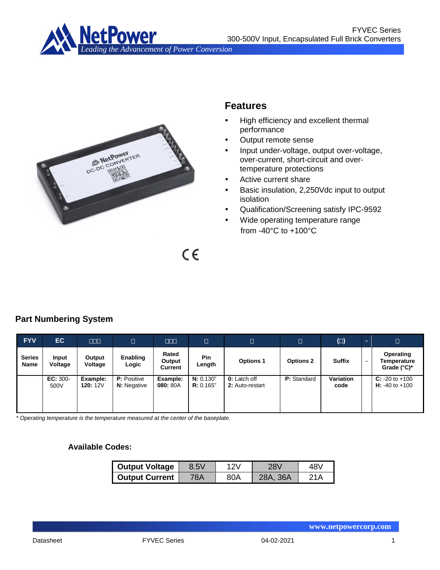



# **Features**

- High efficiency and excellent thermal performance
- Output remote sense
- Input under-voltage, output over-voltage, over-current, short-circuit and overtemperature protections
- Active current share
- Basic insulation, 2,250Vdc input to output isolation
- Qualification/Screening satisfy IPC-9592
- Wide operating temperature range from -40°C to +100°C

 $C \in$ 

# **Part Numbering System**

| <b>FYV</b>            | EC                 | <b>ODD</b>                  | $\Box$                                   | $\Box$                     | $\Box$                 | $\Box$                                 | О                | $\Box$                   |                          | $\Box$                                              |
|-----------------------|--------------------|-----------------------------|------------------------------------------|----------------------------|------------------------|----------------------------------------|------------------|--------------------------|--------------------------|-----------------------------------------------------|
| <b>Series</b><br>Name | Input<br>Voltage   | Output<br>Voltage           | Enabling<br>Logic                        | Rated<br>Output<br>Current | <b>Pin</b><br>Length   | <b>Options 1</b>                       | <b>Options 2</b> | <b>Suffix</b>            | $\overline{\phantom{0}}$ | Operating<br>Temperature<br>Grade $(^{\circ}C)^{*}$ |
|                       | $EC: 300-$<br>500V | Example:<br><b>120: 12V</b> | <b>P:</b> Positive<br><b>N:</b> Negative | Example:<br>080: 80A       | N: 0.130"<br>R: 0.165" | <b>0:</b> Latch off<br>2: Auto-restart | P: Standard      | <b>Variation</b><br>code |                          | $C: -20$ to $+100$<br>$H: -40$ to $+100$            |

*\* Operating temperature is the temperature measured at the center of the baseplate.*

### **Available Codes:**

| <b>Output Voltage</b> | 8.5V |     | ע8י          | 48\ |
|-----------------------|------|-----|--------------|-----|
| <b>Output Current</b> | '8Α  | 80A | - 36A<br>28A |     |

**www.netpowercorp.com**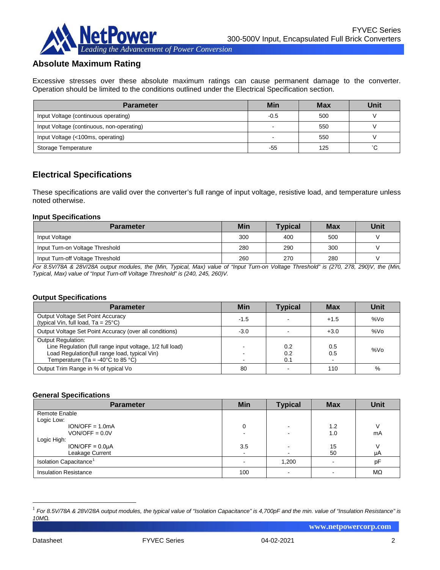

## **Absolute Maximum Rating**

Excessive stresses over these absolute maximum ratings can cause permanent damage to the converter. Operation should be limited to the conditions outlined under the Electrical Specification section.

| <b>Parameter</b>                          | Min    | <b>Max</b> | <b>Unit</b> |
|-------------------------------------------|--------|------------|-------------|
| Input Voltage (continuous operating)      | $-0.5$ | 500        |             |
| Input Voltage (continuous, non-operating) |        | 550        |             |
| Input Voltage (<100ms, operating)         |        | 550        |             |
| Storage Temperature                       | -55    | 125        | °C.         |

### **Electrical Specifications**

These specifications are valid over the converter's full range of input voltage, resistive load, and temperature unless noted otherwise.

#### **Input Specifications**

| <b>Parameter</b>                 | Min | <b>Typical</b> | <b>Max</b> | Unit |
|----------------------------------|-----|----------------|------------|------|
| Input Voltage                    | 300 | 400            | 500        |      |
| Input Turn-on Voltage Threshold  | 280 | 290            | 300        |      |
| Input Turn-off Voltage Threshold | 260 | 270            | 280        |      |

*For 8.5V/78A & 28V/28A output modules, the (Min, Typical, Max) value of "Input Turn-on Voltage Threshold" is (270, 278, 290)V, the (Min, Typical, Max) value of "Input Turn-off Voltage Threshold" is (240, 245, 260)V.*

#### **Output Specifications**

| <b>Parameter</b>                                                                                                                                                                                  | <b>Min</b> | Typical           | <b>Max</b> | Unit   |
|---------------------------------------------------------------------------------------------------------------------------------------------------------------------------------------------------|------------|-------------------|------------|--------|
| <b>Output Voltage Set Point Accuracy</b><br>(typical Vin, full load, $Ta = 25^{\circ}C$ )                                                                                                         | $-1.5$     |                   | $+1.5$     | $%$ Vo |
| Output Voltage Set Point Accuracy (over all conditions)                                                                                                                                           | $-3.0$     |                   | $+3.0$     | %Vo    |
| <b>Output Regulation:</b><br>Line Regulation (full range input voltage, 1/2 full load)<br>Load Regulation(full range load, typical Vin)<br>Temperature (Ta = -40 $^{\circ}$ C to 85 $^{\circ}$ C) |            | 0.2<br>0.2<br>0.1 | 0.5<br>0.5 | %Vo    |
| Output Trim Range in % of typical Vo                                                                                                                                                              | 80         |                   | 110        | %      |

#### **General Specifications**

| <b>Parameter</b>             | <b>Min</b> | <b>Typical</b> | <b>Max</b> | <b>Unit</b> |
|------------------------------|------------|----------------|------------|-------------|
| Remote Enable                |            |                |            |             |
| Logic Low:                   |            |                |            |             |
| $ION/OFF = 1.0mA$            |            |                | 1.2        |             |
| $VON/OFF = 0.0V$             |            |                | 1.0        | mA          |
| Logic High:                  |            |                |            |             |
| $ION/OFF = 0.0µA$            | 3.5        |                | 15         |             |
| Leakage Current              |            |                | 50         | μA          |
| Isolation Capacitance        |            | 1,200          |            | pF          |
| <b>Insulation Resistance</b> | 100        |                |            | MΩ          |

<span id="page-1-0"></span> <sup>1</sup> *For 8.5V/78A & 28V/28A output modules, the typical value of "Isolation Capacitance" is 4,700pF and the min. value of "Insulation Resistance" is 10MΩ.*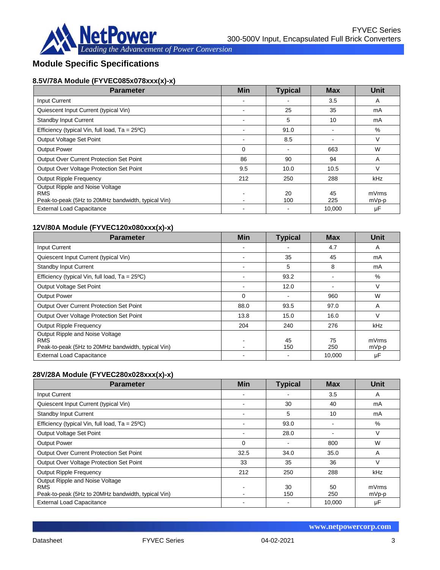

# **Module Specific Specifications**

## **8.5V/78A Module (FYVEC085x078xxx(x)-x)**

| <b>Parameter</b>                                                                                    | <b>Min</b>     | <b>Typical</b> | <b>Max</b> | Unit           |
|-----------------------------------------------------------------------------------------------------|----------------|----------------|------------|----------------|
| <b>Input Current</b>                                                                                |                |                | 3.5        | A              |
| Quiescent Input Current (typical Vin)                                                               |                | 25             | 35         | mA             |
| Standby Input Current                                                                               |                | 5              | 10         | mA             |
| Efficiency (typical Vin, full load, $Ta = 25^{\circ}C$ )                                            |                | 91.0           |            | %              |
| Output Voltage Set Point                                                                            |                | 8.5            |            | V              |
| <b>Output Power</b>                                                                                 | $\Omega$       |                | 663        | W              |
| Output Over Current Protection Set Point                                                            | 86             | 90             | 94         | A              |
| Output Over Voltage Protection Set Point                                                            | 9.5            | 10.0           | 10.5       | V              |
| <b>Output Ripple Frequency</b>                                                                      | 212            | 250            | 288        | kHz            |
| Output Ripple and Noise Voltage<br><b>RMS</b><br>Peak-to-peak (5Hz to 20MHz bandwidth, typical Vin) | $\blacksquare$ | 20<br>100      | 45<br>225  | mVrms<br>mVp-p |
| <b>External Load Capacitance</b>                                                                    |                |                | 10.000     | μF             |

### **12V/80A Module (FYVEC120x080xxx(x)-x)**

| <b>Parameter</b>                                                                                    | <b>Min</b> | <b>Typical</b> | <b>Max</b> | <b>Unit</b>      |
|-----------------------------------------------------------------------------------------------------|------------|----------------|------------|------------------|
| <b>Input Current</b>                                                                                |            |                | 4.7        | A                |
| Quiescent Input Current (typical Vin)                                                               |            | 35             | 45         | mA               |
| <b>Standby Input Current</b>                                                                        |            | 5              | 8          | mA               |
| Efficiency (typical Vin, full load, $Ta = 25^{\circ}C$ )                                            |            | 93.2           |            | %                |
| Output Voltage Set Point                                                                            |            | 12.0           |            | V                |
| <b>Output Power</b>                                                                                 | $\Omega$   |                | 960        | W                |
| <b>Output Over Current Protection Set Point</b>                                                     | 88.0       | 93.5           | 97.0       | A                |
| Output Over Voltage Protection Set Point                                                            | 13.8       | 15.0           | 16.0       | V                |
| <b>Output Ripple Frequency</b>                                                                      | 204        | 240            | 276        | <b>kHz</b>       |
| Output Ripple and Noise Voltage<br><b>RMS</b><br>Peak-to-peak (5Hz to 20MHz bandwidth, typical Vin) |            | 45<br>150      | 75<br>250  | mVrms<br>$mVp-p$ |
| <b>External Load Capacitance</b>                                                                    |            |                | 10,000     | μF               |

### **28V/28A Module (FYVEC280x028xxx(x)-x)**

| <b>Parameter</b>                                                                                    | <b>Min</b> | <b>Typical</b> | <b>Max</b> | <b>Unit</b>      |
|-----------------------------------------------------------------------------------------------------|------------|----------------|------------|------------------|
| Input Current                                                                                       |            |                | 3.5        | A                |
| Quiescent Input Current (typical Vin)                                                               |            | 30             | 40         | mA               |
| <b>Standby Input Current</b>                                                                        |            | 5              | 10         | mA               |
| Efficiency (typical Vin, full load, $Ta = 25^{\circ}C$ )                                            |            | 93.0           |            | %                |
| Output Voltage Set Point                                                                            |            | 28.0           |            | V                |
| <b>Output Power</b>                                                                                 | $\Omega$   |                | 800        | W                |
| <b>Output Over Current Protection Set Point</b>                                                     | 32.5       | 34.0           | 35.0       | A                |
| Output Over Voltage Protection Set Point                                                            | 33         | 35             | 36         | V                |
| <b>Output Ripple Frequency</b>                                                                      | 212        | 250            | 288        | <b>kHz</b>       |
| Output Ripple and Noise Voltage<br><b>RMS</b><br>Peak-to-peak (5Hz to 20MHz bandwidth, typical Vin) |            | 30<br>150      | 50<br>250  | mVrms<br>$mVp-p$ |
| <b>External Load Capacitance</b>                                                                    |            |                | 10.000     | μF               |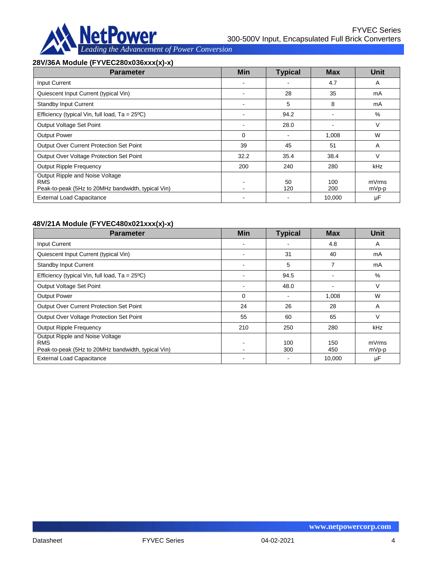

### **28V/36A Module (FYVEC280x036xxx(x)-x)**

| <b>Parameter</b>                                                                                    | <b>Min</b> | <b>Typical</b> | <b>Max</b> | Unit             |
|-----------------------------------------------------------------------------------------------------|------------|----------------|------------|------------------|
| <b>Input Current</b>                                                                                |            |                | 4.7        | A                |
| Quiescent Input Current (typical Vin)                                                               |            | 28             | 35         | mA               |
| <b>Standby Input Current</b>                                                                        |            | 5              | 8          | mA               |
| Efficiency (typical Vin, full load, $Ta = 25^{\circ}C$ )                                            |            | 94.2           |            | %                |
| Output Voltage Set Point                                                                            |            | 28.0           |            | $\vee$           |
| <b>Output Power</b>                                                                                 | $\Omega$   | $\blacksquare$ | 1,008      | W                |
| Output Over Current Protection Set Point                                                            | 39         | 45             | 51         | A                |
| Output Over Voltage Protection Set Point                                                            | 32.2       | 35.4           | 38.4       | V                |
| <b>Output Ripple Frequency</b>                                                                      | 200        | 240            | 280        | kHz              |
| Output Ripple and Noise Voltage<br><b>RMS</b><br>Peak-to-peak (5Hz to 20MHz bandwidth, typical Vin) |            | 50<br>120      | 100<br>200 | mVrms<br>$mVp-p$ |
| <b>External Load Capacitance</b>                                                                    |            |                | 10,000     | μF               |

### **48V/21A Module (FYVEC480x021xxx(x)-x)**

| <b>Parameter</b>                                                                                    | <b>Min</b> | <b>Typical</b> | <b>Max</b> | <b>Unit</b>      |
|-----------------------------------------------------------------------------------------------------|------------|----------------|------------|------------------|
| Input Current                                                                                       |            |                | 4.8        | A                |
| Quiescent Input Current (typical Vin)                                                               |            | 31             | 40         | mA               |
| <b>Standby Input Current</b>                                                                        |            | 5              | 7          | mA               |
| Efficiency (typical Vin, full load, $Ta = 25^{\circ}C$ )                                            |            | 94.5           |            | %                |
| Output Voltage Set Point                                                                            |            | 48.0           |            | V                |
| <b>Output Power</b>                                                                                 | 0          |                | 1,008      | W                |
| Output Over Current Protection Set Point                                                            | 24         | 26             | 28         | A                |
| Output Over Voltage Protection Set Point                                                            | 55         | 60             | 65         | V                |
| <b>Output Ripple Frequency</b>                                                                      | 210        | 250            | 280        | kHz              |
| Output Ripple and Noise Voltage<br><b>RMS</b><br>Peak-to-peak (5Hz to 20MHz bandwidth, typical Vin) |            | 100<br>300     | 150<br>450 | mVrms<br>$mVp-p$ |
| <b>External Load Capacitance</b>                                                                    |            |                | 10.000     | μF               |

**www.netpowercorp.com**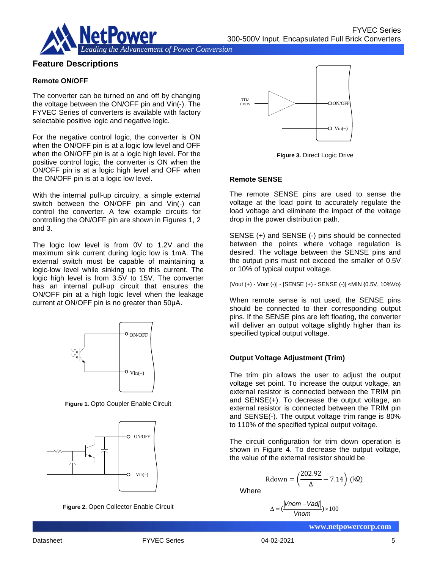

### **Feature Descriptions**

### **Remote ON/OFF**

The converter can be turned on and off by changing the voltage between the ON/OFF pin and Vin(-). The FYVEC Series of converters is available with factory selectable positive logic and negative logic.

For the negative control logic, the converter is ON when the ON/OFF pin is at a logic low level and OFF when the ON/OFF pin is at a logic high level. For the positive control logic, the converter is ON when the ON/OFF pin is at a logic high level and OFF when the ON/OFF pin is at a logic low level.

With the internal pull-up circuitry, a simple external switch between the ON/OFF pin and Vin(-) can control the converter. A few example circuits for controlling the ON/OFF pin are shown in Figures 1, 2 and 3.

The logic low level is from 0V to 1.2V and the maximum sink current during logic low is 1mA. The external switch must be capable of maintaining a logic-low level while sinking up to this current. The logic high level is from 3.5V to 15V. The converter has an internal pull-up circuit that ensures the ON/OFF pin at a high logic level when the leakage current at ON/OFF pin is no greater than 50μA.



**Figure 1.** Opto Coupler Enable Circuit



**Figure 2.** Open Collector Enable Circuit



**Figure 3.** Direct Logic Drive

#### **Remote SENSE**

The remote SENSE pins are used to sense the voltage at the load point to accurately regulate the load voltage and eliminate the impact of the voltage drop in the power distribution path.

SENSE (+) and SENSE (-) pins should be connected between the points where voltage regulation is desired. The voltage between the SENSE pins and the output pins must not exceed the smaller of 0.5V or 10% of typical output voltage.

[Vout (+) - Vout (-)] - [SENSE (+) - SENSE (-)] <MIN {0.5V, 10%Vo}

When remote sense is not used, the SENSE pins should be connected to their corresponding output pins. If the SENSE pins are left floating, the converter will deliver an output voltage slightly higher than its specified typical output voltage.

### **Output Voltage Adjustment (Trim)**

The trim pin allows the user to adjust the output voltage set point. To increase the output voltage, an external resistor is connected between the TRIM pin and SENSE(+). To decrease the output voltage, an external resistor is connected between the TRIM pin and SENSE(-). The output voltage trim range is 80% to 110% of the specified typical output voltage.

The circuit configuration for trim down operation is shown in Figure 4. To decrease the output voltage, the value of the external resistor should be

$$
\text{Rdown} = \left(\frac{202.92}{\Delta} - 7.14\right) \text{ (k}\Omega\text{)}
$$

**Where** 

$$
\Delta = \left(\frac{|Vnom - Vadj|}{Vnom}\right) \times 100
$$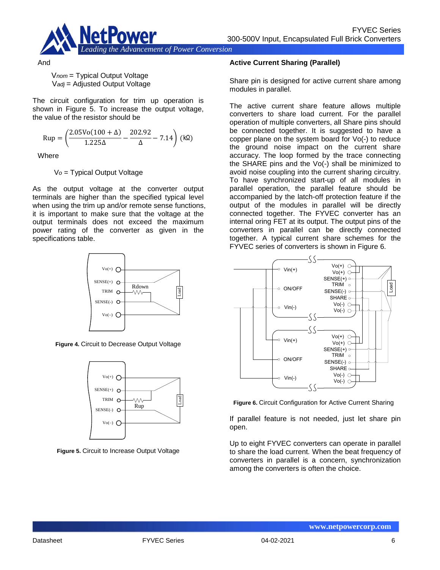

And

V*nom* = Typical Output Voltage V*adj* = Adjusted Output Voltage

The circuit configuration for trim up operation is shown in Figure 5. To increase the output voltage, the value of the resistor should be

$$
Rup = \left(\frac{2.05Vo(100 + \Delta)}{1.225\Delta} - \frac{202.92}{\Delta} - 7.14\right) \text{ (k}\Omega\text{)}
$$

**Where** 

V*o* = Typical Output Voltage

As the output voltage at the converter output terminals are higher than the specified typical level when using the trim up and/or remote sense functions, it is important to make sure that the voltage at the output terminals does not exceed the maximum power rating of the converter as given in the specifications table.



**Figure 4.** Circuit to Decrease Output Voltage



**Figure 5.** Circuit to Increase Output Voltage

### **Active Current Sharing (Parallel)**

Share pin is designed for active current share among modules in parallel.

The active current share feature allows multiple converters to share load current. For the parallel operation of multiple converters, all Share pins should be connected together. It is suggested to have a copper plane on the system board for Vo(-) to reduce the ground noise impact on the current share accuracy. The loop formed by the trace connecting the SHARE pins and the Vo(-) shall be minimized to avoid noise coupling into the current sharing circuitry. To have synchronized start-up of all modules in parallel operation, the parallel feature should be accompanied by the latch-off protection feature if the output of the modules in parallel will be directly connected together. The FYVEC converter has an internal oring FET at its output. The output pins of the converters in parallel can be directly connected together. A typical current share schemes for the FYVEC series of converters is shown in Figure 6.



**Figure 6.** Circuit Configuration for Active Current Sharing

If parallel feature is not needed, just let share pin open.

Up to eight FYVEC converters can operate in parallel to share the load current. When the beat frequency of converters in parallel is a concern, synchronization among the converters is often the choice.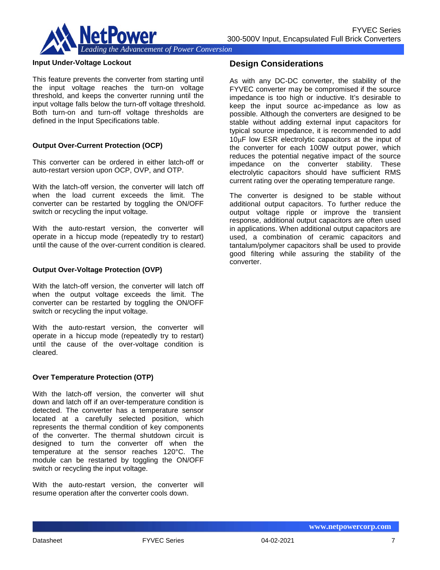

#### **Input Under-Voltage Lockout**

This feature prevents the converter from starting until the input voltage reaches the turn-on voltage threshold, and keeps the converter running until the input voltage falls below the turn-off voltage threshold. Both turn-on and turn-off voltage thresholds are defined in the Input Specifications table.

#### **Output Over-Current Protection (OCP)**

This converter can be ordered in either latch-off or auto-restart version upon OCP, OVP, and OTP.

With the latch-off version, the converter will latch off when the load current exceeds the limit. The converter can be restarted by toggling the ON/OFF switch or recycling the input voltage.

With the auto-restart version, the converter will operate in a hiccup mode (repeatedly try to restart) until the cause of the over-current condition is cleared.

#### **Output Over-Voltage Protection (OVP)**

With the latch-off version, the converter will latch off when the output voltage exceeds the limit. The converter can be restarted by toggling the ON/OFF switch or recycling the input voltage.

With the auto-restart version, the converter will operate in a hiccup mode (repeatedly try to restart) until the cause of the over-voltage condition is cleared.

#### **Over Temperature Protection (OTP)**

With the latch-off version, the converter will shut down and latch off if an over-temperature condition is detected. The converter has a temperature sensor located at a carefully selected position, which represents the thermal condition of key components of the converter. The thermal shutdown circuit is designed to turn the converter off when the temperature at the sensor reaches 120°C. The module can be restarted by toggling the ON/OFF switch or recycling the input voltage.

With the auto-restart version, the converter will resume operation after the converter cools down.

### **Design Considerations**

As with any DC-DC converter, the stability of the FYVEC converter may be compromised if the source impedance is too high or inductive. It's desirable to keep the input source ac-impedance as low as possible. Although the converters are designed to be stable without adding external input capacitors for typical source impedance, it is recommended to add 10µF low ESR electrolytic capacitors at the input of the converter for each 100W output power, which reduces the potential negative impact of the source impedance on the converter stability. These electrolytic capacitors should have sufficient RMS current rating over the operating temperature range.

The converter is designed to be stable without additional output capacitors. To further reduce the output voltage ripple or improve the transient response, additional output capacitors are often used in applications. When additional output capacitors are used, a combination of ceramic capacitors and tantalum/polymer capacitors shall be used to provide good filtering while assuring the stability of the converter.

**www.netpowercorp.com**